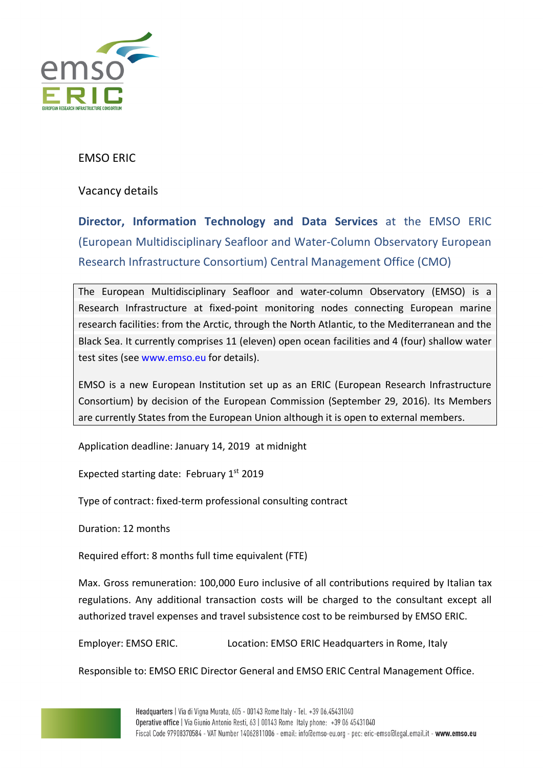

## EMSO ERIC

Vacancy details

**Director, Information Technology and Data Services** at the EMSO ERIC (European Multidisciplinary Seafloor and Water-Column Observatory European Research Infrastructure Consortium) Central Management Office (CMO)

The European Multidisciplinary Seafloor and water-column Observatory (EMSO) is a Research Infrastructure at fixed-point monitoring nodes connecting European marine research facilities: from the Arctic, through the North Atlantic, to the Mediterranean and the Black Sea. It currently comprises 11 (eleven) open ocean facilities and 4 (four) shallow water test sites (see www.emso.eu for details).

EMSO is a new European Institution set up as an ERIC (European Research Infrastructure Consortium) by decision of the European Commission (September 29, 2016). Its Members are currently States from the European Union although it is open to external members.

Application deadline: January 14, 2019 at midnight

Expected starting date: February 1st 2019

Type of contract: fixed-term professional consulting contract

Duration: 12 months

Required effort: 8 months full time equivalent (FTE)

Max. Gross remuneration: 100,000 Euro inclusive of all contributions required by Italian tax regulations. Any additional transaction costs will be charged to the consultant except all authorized travel expenses and travel subsistence cost to be reimbursed by EMSO ERIC.

Employer: EMSO ERIC. Location: EMSO ERIC Headquarters in Rome, Italy

Responsible to: EMSO ERIC Director General and EMSO ERIC Central Management Office.

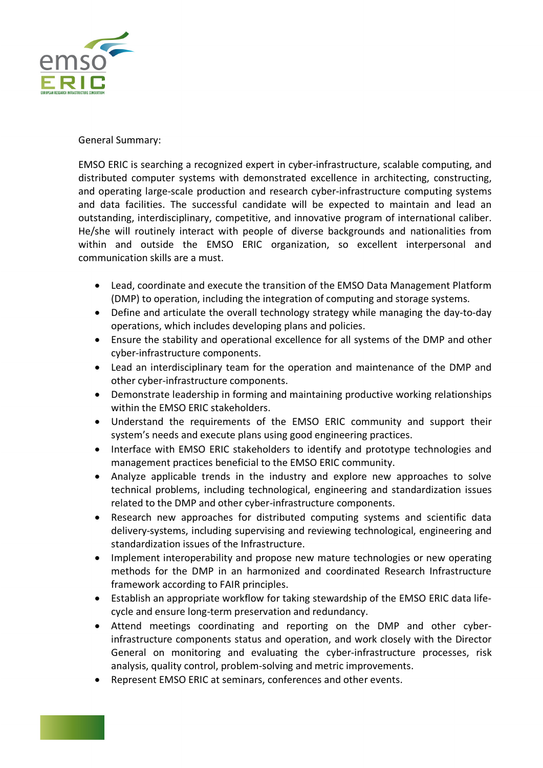

## General Summary:

EMSO ERIC is searching a recognized expert in cyber-infrastructure, scalable computing, and distributed computer systems with demonstrated excellence in architecting, constructing, and operating large-scale production and research cyber-infrastructure computing systems and data facilities. The successful candidate will be expected to maintain and lead an outstanding, interdisciplinary, competitive, and innovative program of international caliber. He/she will routinely interact with people of diverse backgrounds and nationalities from within and outside the EMSO ERIC organization, so excellent interpersonal and communication skills are a must.

- Lead, coordinate and execute the transition of the EMSO Data Management Platform (DMP) to operation, including the integration of computing and storage systems.
- Define and articulate the overall technology strategy while managing the day-to-day operations, which includes developing plans and policies.
- Ensure the stability and operational excellence for all systems of the DMP and other cyber-infrastructure components.
- Lead an interdisciplinary team for the operation and maintenance of the DMP and other cyber-infrastructure components.
- Demonstrate leadership in forming and maintaining productive working relationships within the EMSO ERIC stakeholders.
- Understand the requirements of the EMSO ERIC community and support their system's needs and execute plans using good engineering practices.
- Interface with EMSO ERIC stakeholders to identify and prototype technologies and management practices beneficial to the EMSO ERIC community.
- Analyze applicable trends in the industry and explore new approaches to solve technical problems, including technological, engineering and standardization issues related to the DMP and other cyber-infrastructure components.
- Research new approaches for distributed computing systems and scientific data delivery-systems, including supervising and reviewing technological, engineering and standardization issues of the Infrastructure.
- Implement interoperability and propose new mature technologies or new operating methods for the DMP in an harmonized and coordinated Research Infrastructure framework according to FAIR principles.
- Establish an appropriate workflow for taking stewardship of the EMSO ERIC data lifecycle and ensure long-term preservation and redundancy.
- Attend meetings coordinating and reporting on the DMP and other cyberinfrastructure components status and operation, and work closely with the Director General on monitoring and evaluating the cyber-infrastructure processes, risk analysis, quality control, problem-solving and metric improvements.
- Represent EMSO ERIC at seminars, conferences and other events.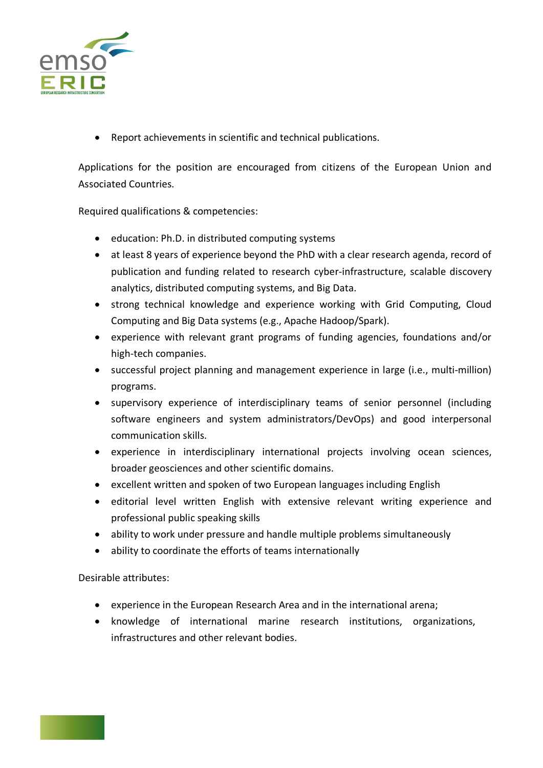

• Report achievements in scientific and technical publications.

Applications for the position are encouraged from citizens of the European Union and Associated Countries.

Required qualifications & competencies:

- education: Ph.D. in distributed computing systems
- at least 8 years of experience beyond the PhD with a clear research agenda, record of publication and funding related to research cyber-infrastructure, scalable discovery analytics, distributed computing systems, and Big Data.
- strong technical knowledge and experience working with Grid Computing, Cloud Computing and Big Data systems (e.g., Apache Hadoop/Spark).
- experience with relevant grant programs of funding agencies, foundations and/or high-tech companies.
- successful project planning and management experience in large (i.e., multi-million) programs.
- supervisory experience of interdisciplinary teams of senior personnel (including software engineers and system administrators/DevOps) and good interpersonal communication skills.
- experience in interdisciplinary international projects involving ocean sciences, broader geosciences and other scientific domains.
- excellent written and spoken of two European languages including English
- editorial level written English with extensive relevant writing experience and professional public speaking skills
- ability to work under pressure and handle multiple problems simultaneously
- ability to coordinate the efforts of teams internationally

Desirable attributes:

- experience in the European Research Area and in the international arena;
- knowledge of international marine research institutions, organizations, infrastructures and other relevant bodies.